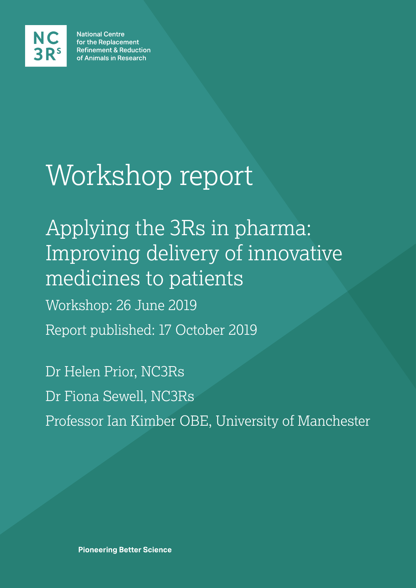

**National Centre** for the Replacement **Refinement & Reduction** of Animals in Research

# Workshop report

Applying the 3Rs in pharma: Improving delivery of innovative medicines to patients Workshop: 26 June 2019 Report published: 17 October 2019

Dr Helen Prior, NC3Rs Dr Fiona Sewell, NC3Rs Professor Ian Kimber OBE, University of Manchester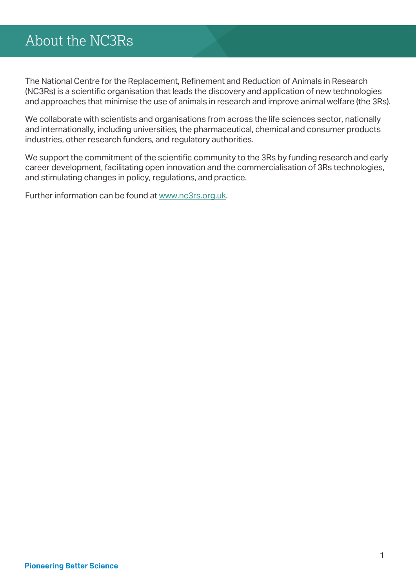## About the NC3Rs

The National Centre for the Replacement, Refinement and Reduction of Animals in Research (NC3Rs) is a scientific organisation that leads the discovery and application of new technologies and approaches that minimise the use of animals in research and improve animal welfare (the 3Rs).

We collaborate with scientists and organisations from across the life sciences sector, nationally and internationally, including universities, the pharmaceutical, chemical and consumer products industries, other research funders, and regulatory authorities.

We support the commitment of the scientific community to the 3Rs by funding research and early career development, facilitating open innovation and the commercialisation of 3Rs technologies, and stimulating changes in policy, regulations, and practice.

Further information can be found at [www.nc3rs.org.uk.](http://www.nc3rs.org.uk)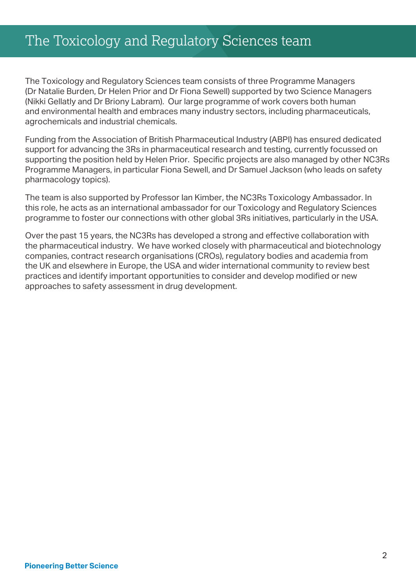## The Toxicology and Regulatory Sciences team

The Toxicology and Regulatory Sciences team consists of three Programme Managers (Dr Natalie Burden, Dr Helen Prior and Dr Fiona Sewell) supported by two Science Managers (Nikki Gellatly and Dr Briony Labram). Our large programme of work covers both human and environmental health and embraces many industry sectors, including pharmaceuticals, agrochemicals and industrial chemicals.

Funding from the Association of British Pharmaceutical Industry (ABPI) has ensured dedicated support for advancing the 3Rs in pharmaceutical research and testing, currently focussed on supporting the position held by Helen Prior. Specific projects are also managed by other NC3Rs Programme Managers, in particular Fiona Sewell, and Dr Samuel Jackson (who leads on safety pharmacology topics).

The team is also supported by Professor Ian Kimber, the NC3Rs Toxicology Ambassador. In this role, he acts as an international ambassador for our Toxicology and Regulatory Sciences programme to foster our connections with other global 3Rs initiatives, particularly in the USA.

Over the past 15 years, the NC3Rs has developed a strong and effective collaboration with the pharmaceutical industry. We have worked closely with pharmaceutical and biotechnology companies, contract research organisations (CROs), regulatory bodies and academia from the UK and elsewhere in Europe, the USA and wider international community to review best practices and identify important opportunities to consider and develop modified or new approaches to safety assessment in drug development.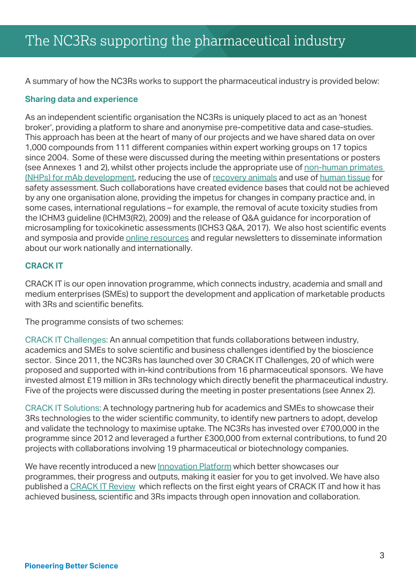A summary of how the NC3Rs works to support the pharmaceutical industry is provided below:

### **Sharing data and experience**

As an independent scientific organisation the NC3Rs is uniquely placed to act as an 'honest broker', providing a platform to share and anonymise pre-competitive data and case-studies. This approach has been at the heart of many of our projects and we have shared data on over 1,000 compounds from 111 different companies within expert working groups on 17 topics since 2004. Some of these were discussed during the meeting within presentations or posters (see Annexes 1 and 2), whilst other projects include the appropriate use of [non-human primates](https://www.nc3rs.org.uk/reducing-animal-use-monoclonal-antibody-development)  [\(NHPs\) for mAb development,](https://www.nc3rs.org.uk/reducing-animal-use-monoclonal-antibody-development) reducing the use of [recovery animals](https://www.nc3rs.org.uk/reducing-use-recovery-animals) and use of [human tissue](https://www.nc3rs.org.uk/human-tissue-safety-pharmacology) for safety assessment. Such collaborations have created evidence bases that could not be achieved by any one organisation alone, providing the impetus for changes in company practice and, in some cases, international regulations – for example, the removal of acute toxicity studies from the ICHM3 guideline (ICHM3(R2), 2009) and the release of Q&A guidance for incorporation of microsampling for toxicokinetic assessments (ICHS3 Q&A, 2017). We also host scientific events and symposia and provide [online resources](https://www.nc3rs.org.uk/Toxicology-and-Regulatory-Sciences-resources) and regular newsletters to disseminate information about our work nationally and internationally.

### **CRACK IT**

CRACK IT is our open innovation programme, which connects industry, academia and small and medium enterprises (SMEs) to support the development and application of marketable products with 3Rs and scientific benefits.

The programme consists of two schemes:

CRACK IT Challenges: An annual competition that funds collaborations between industry, academics and SMEs to solve scientific and business challenges identified by the bioscience sector. Since 2011, the NC3Rs has launched over 30 CRACK IT Challenges, 20 of which were proposed and supported with in-kind contributions from 16 pharmaceutical sponsors. We have invested almost £19 million in 3Rs technology which directly benefit the pharmaceutical industry. Five of the projects were discussed during the meeting in poster presentations (see Annex 2).

CRACK IT Solutions: A technology partnering hub for academics and SMEs to showcase their 3Rs technologies to the wider scientific community, to identify new partners to adopt, develop and validate the technology to maximise uptake. The NC3Rs has invested over £700,000 in the programme since 2012 and leveraged a further £300,000 from external contributions, to fund 20 projects with collaborations involving 19 pharmaceutical or biotechnology companies.

We have recently introduced a new [Innovation P](https://nc3rs.org.uk/crackit)latform which better showcases our programmes, their progress and outputs, making it easier for you to get involved. We have also published a [CRACK IT Review](https://nc3rs.org.uk/our-reviews) which reflects on the first eight years of CRACK IT and how it has achieved business, scientific and 3Rs impacts through open innovation and collaboration.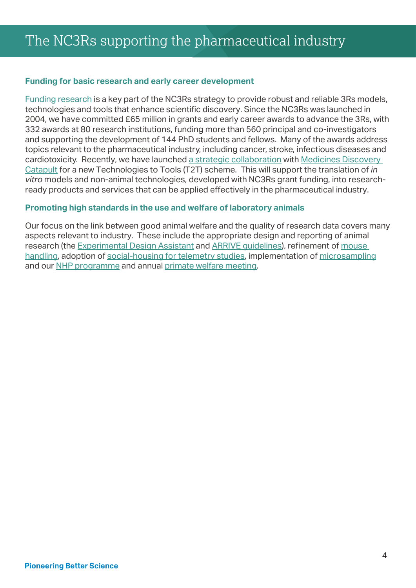### **Funding for basic research and early career development**

[Funding research](https://www.nc3rs.org.uk/sites/default/files/documents/Corporate_publications/NC3Rs Research Review 2019.pdf) is a key part of the NC3Rs strategy to provide robust and reliable 3Rs models, technologies and tools that enhance scientific discovery. Since the NC3Rs was launched in 2004, we have committed £65 million in grants and early career awards to advance the 3Rs, with 332 awards at 80 research institutions, funding more than 560 principal and co-investigators and supporting the development of 144 PhD students and fellows. Many of the awards address topics relevant to the pharmaceutical industry, including cancer, stroke, infectious diseases and cardiotoxicity. Recently, we have launched [a strategic collaboration](https://www.nc3rs.org.uk/news/awards-accelerate-translation-3rs-technologies-industrial-use) with Medicines Discovery [Catapult](https://md.catapult.org.uk/) for a new Technologies to Tools (T2T) scheme. This will support the translation of *in vitro* models and non-animal technologies, developed with NC3Rs grant funding, into researchready products and services that can be applied effectively in the pharmaceutical industry.

### **Promoting high standards in the use and welfare of laboratory animals**

Our focus on the link between good animal welfare and the quality of research data covers many aspects relevant to industry. These include the appropriate design and reporting of animal research (the [Experimental Design Assistant](https://www.nc3rs.org.uk/experimental-design-assistant-eda) and [ARRIVE guidelines](https://www.nc3rs.org.uk/arrive-guidelines)), refinement of [mouse](https://www.nc3rs.org.uk/how-to-pick-up-a-mouse)  [handling,](https://www.nc3rs.org.uk/how-to-pick-up-a-mouse) adoption of [social-housing for telemetry studies](https://www.nc3rs.org.uk/refinement-rodent-and-non-rodent-housing-during-telemetry-recordings), implementation of [microsampling](https://www.nc3rs.org.uk/microsampling) and our [NHP programme](https://www.nc3rs.org.uk/welfare-non-human-primates) and annual [primate welfare meeting](https://www.nc3rs.org.uk/non-human-primate-welfare-meeting).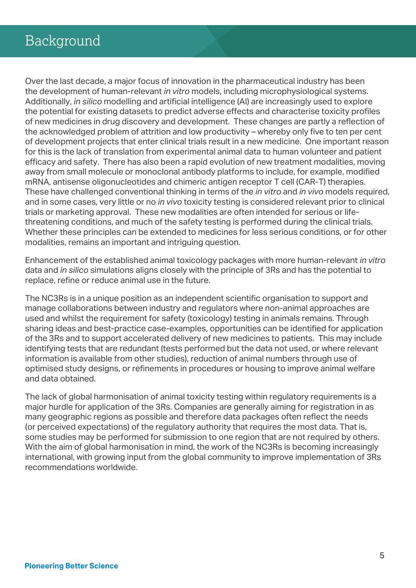Over the last decade, a major focus of innovation in the pharmaceutical industry has been the development of human-relevant *in vitro* models, including microphysiological systems. Additionally, *in silico* modelling and artificial intelligence (AI) are increasingly used to explore the potential for existing datasets to predict adverse effects and characterise toxicity profiles of new medicines in drug discovery and development. These changes are partly a reflection of the acknowledged problem of attrition and low productivity – whereby only five to ten per cent of development projects that enter clinical trials result in a new medicine. One important reason for this is the lack of translation from experimental animal data to human volunteer and patient efficacy and safety. There has also been a rapid evolution of new treatment modalities, moving away from small molecule or monoclonal antibody platforms to include, for example, modified mRNA, antisense oligonucleotides and chimeric antigen receptor T cell (CAR-T) therapies. These have challenged conventional thinking in terms of the *in vitro* and *in vivo* models required, and in some cases, very little or no *in vivo* toxicity testing is considered relevant prior to clinical trials or marketing approval. These new modalities are often intended for serious or lifethreatening conditions, and much of the safety testing is performed during the clinical trials. Whether these principles can be extended to medicines for less serious conditions, or for other modalities, remains an important and intriguing question.

Enhancement of the established animal toxicology packages with more human-relevant *in vitro* data and *in silico* simulations aligns closely with the principle of 3Rs and has the potential to replace, refine or reduce animal use in the future.

The NC3Rs is in a unique position as an independent scientific organisation to support and manage collaborations between industry and regulators where non-animal approaches are used and whilst the requirement for safety (toxicology) testing in animals remains. Through sharing ideas and best-practice case-examples, opportunities can be identified for application of the 3Rs and to support accelerated delivery of new medicines to patients. This may include identifying tests that are redundant (tests performed but the data not used, or where relevant information is available from other studies), reduction of animal numbers through use of optimised study designs, or refinements in procedures or housing to improve animal welfare and data obtained.

The lack of global harmonisation of animal toxicity testing within regulatory requirements is a major hurdle for application of the 3Rs. Companies are generally aiming for registration in as many geographic regions as possible and therefore data packages often reflect the needs (or perceived expectations) of the regulatory authority that requires the most data. That is, some studies may be performed for submission to one region that are not required by others. With the aim of global harmonisation in mind, the work of the NC3Rs is becoming increasingly international, with growing input from the global community to improve implementation of 3Rs recommendations worldwide.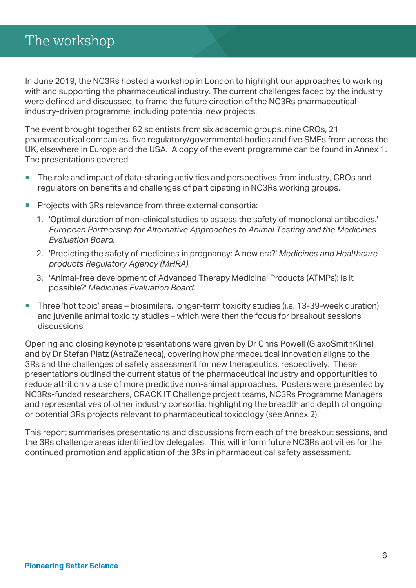In June 2019, the NC3Rs hosted a workshop in London to highlight our approaches to working with and supporting the pharmaceutical industry. The current challenges faced by the industry were defined and discussed, to frame the future direction of the NC3Rs pharmaceutical industry-driven programme, including potential new projects.

The event brought together 62 scientists from six academic groups, nine CROs, 21 pharmaceutical companies, five regulatory/governmental bodies and five SMEs from across the UK, elsewhere in Europe and the USA. A copy of the event programme can be found in Annex 1. The presentations covered:

- The role and impact of data-sharing activities and perspectives from industry, CROs and regulators on benefits and challenges of participating in NC3Rs working groups.
- Projects with 3Rs relevance from three external consortia:
	- 1. 'Optimal duration of non-clinical studies to assess the safety of monoclonal antibodies.' *European Partnership for Alternative Approaches to Animal Testing and the Medicines Evaluation Board.*
	- 2. 'Predicting the safety of medicines in pregnancy: A new era?' *Medicines and Healthcare products Regulatory Agency (MHRA).*
	- 3. 'Animal-free development of Advanced Therapy Medicinal Products (ATMPs): Is it possible?' *Medicines Evaluation Board.*
- Three 'hot topic' areas biosimilars, longer-term toxicity studies (i.e. 13-39-week duration) and juvenile animal toxicity studies – which were then the focus for breakout sessions discussions.

Opening and closing keynote presentations were given by Dr Chris Powell (GlaxoSmithKline) and by Dr Stefan Platz (AstraZeneca), covering how pharmaceutical innovation aligns to the 3Rs and the challenges of safety assessment for new therapeutics, respectively. These presentations outlined the current status of the pharmaceutical industry and opportunities to reduce attrition via use of more predictive non-animal approaches. Posters were presented by NC3Rs-funded researchers, CRACK IT Challenge project teams, NC3Rs Programme Managers and representatives of other industry consortia, highlighting the breadth and depth of ongoing or potential 3Rs projects relevant to pharmaceutical toxicology (see Annex 2).

This report summarises presentations and discussions from each of the breakout sessions, and the 3Rs challenge areas identified by delegates. This will inform future NC3Rs activities for the continued promotion and application of the 3Rs in pharmaceutical safety assessment.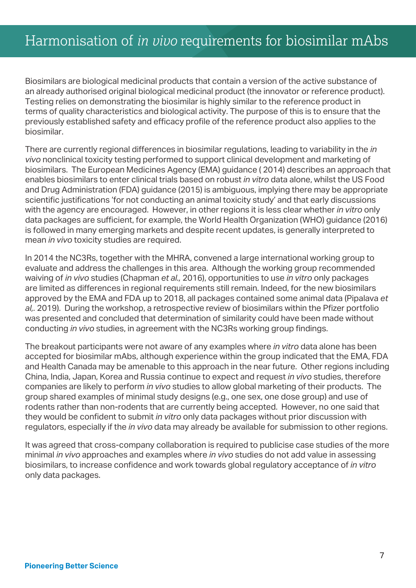Biosimilars are biological medicinal products that contain a version of the active substance of an already authorised original biological medicinal product (the innovator or reference product). Testing relies on demonstrating the biosimilar is highly similar to the reference product in terms of quality characteristics and biological activity. The purpose of this is to ensure that the previously established safety and efficacy profile of the reference product also applies to the biosimilar.

There are currently regional differences in biosimilar regulations, leading to variability in the *in vivo* nonclinical toxicity testing performed to support clinical development and marketing of biosimilars. The European Medicines Agency (EMA) guidance ( 2014) describes an approach that enables biosimilars to enter clinical trials based on robust *in vitro* data alone, whilst the US Food and Drug Administration (FDA) guidance (2015) is ambiguous, implying there may be appropriate scientific justifications 'for not conducting an animal toxicity study' and that early discussions with the agency are encouraged. However, in other regions it is less clear whether *in vitro* only data packages are sufficient, for example, the World Health Organization (WHO) guidance (2016) is followed in many emerging markets and despite recent updates, is generally interpreted to mean *in vivo* toxicity studies are required.

In 2014 the NC3Rs, together with the MHRA, convened a large international working group to evaluate and address the challenges in this area. Although the working group recommended waiving of *in vivo* studies (Chapman *et al.,* 2016), opportunities to use *in vitro* only packages are limited as differences in regional requirements still remain. Indeed, for the new biosimilars approved by the EMA and FDA up to 2018, all packages contained some animal data (Pipalava *et al,.* 2019). During the workshop, a retrospective review of biosimilars within the Pfizer portfolio was presented and concluded that determination of similarity could have been made without conducting *in vivo* studies, in agreement with the NC3Rs working group findings.

The breakout participants were not aware of any examples where *in vitro* data alone has been accepted for biosimilar mAbs, although experience within the group indicated that the EMA, FDA and Health Canada may be amenable to this approach in the near future. Other regions including China, India, Japan, Korea and Russia continue to expect and request *in vivo* studies, therefore companies are likely to perform *in vivo* studies to allow global marketing of their products. The group shared examples of minimal study designs (e.g., one sex, one dose group) and use of rodents rather than non-rodents that are currently being accepted. However, no one said that they would be confident to submit *in vitro* only data packages without prior discussion with regulators, especially if the *in vivo* data may already be available for submission to other regions.

It was agreed that cross-company collaboration is required to publicise case studies of the more minimal *in vivo* approaches and examples where *in vivo* studies do not add value in assessing biosimilars, to increase confidence and work towards global regulatory acceptance of *in vitro* only data packages.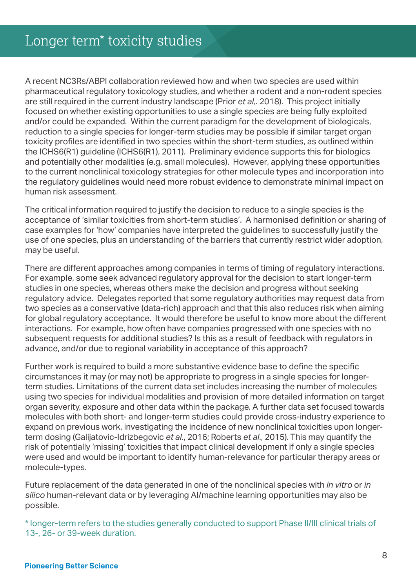A recent NC3Rs/ABPI collaboration reviewed how and when two species are used within pharmaceutical regulatory toxicology studies, and whether a rodent and a non-rodent species are still required in the current industry landscape (Prior *et al,.* 2018). This project initially focused on whether existing opportunities to use a single species are being fully exploited and/or could be expanded. Within the current paradigm for the development of biologicals, reduction to a single species for longer-term studies may be possible if similar target organ toxicity profiles are identified in two species within the short-term studies, as outlined within the ICHS6(R1) guideline (ICHS6(R1), 2011). Preliminary evidence supports this for biologics and potentially other modalities (e.g. small molecules). However, applying these opportunities to the current nonclinical toxicology strategies for other molecule types and incorporation into the regulatory guidelines would need more robust evidence to demonstrate minimal impact on human risk assessment.

The critical information required to justify the decision to reduce to a single species is the acceptance of 'similar toxicities from short-term studies'. A harmonised definition or sharing of case examples for 'how' companies have interpreted the guidelines to successfully justify the use of one species, plus an understanding of the barriers that currently restrict wider adoption, may be useful.

There are different approaches among companies in terms of timing of regulatory interactions. For example, some seek advanced regulatory approval for the decision to start longer-term studies in one species, whereas others make the decision and progress without seeking regulatory advice. Delegates reported that some regulatory authorities may request data from two species as a conservative (data-rich) approach and that this also reduces risk when aiming for global regulatory acceptance. It would therefore be useful to know more about the different interactions. For example, how often have companies progressed with one species with no subsequent requests for additional studies? Is this as a result of feedback with regulators in advance, and/or due to regional variability in acceptance of this approach?

Further work is required to build a more substantive evidence base to define the specific circumstances it may (or may not) be appropriate to progress in a single species for longerterm studies. Limitations of the current data set includes increasing the number of molecules using two species for individual modalities and provision of more detailed information on target organ severity, exposure and other data within the package. A further data set focused towards molecules with both short- and longer-term studies could provide cross-industry experience to expand on previous work, investigating the incidence of new nonclinical toxicities upon longerterm dosing (Galijatovic-Idrizbegovic *et al*., 2016; Roberts *et al*., 2015). This may quantify the risk of potentially 'missing' toxicities that impact clinical development if only a single species were used and would be important to identify human-relevance for particular therapy areas or molecule-types.

Future replacement of the data generated in one of the nonclinical species with *in vitro* or *in silico* human-relevant data or by leveraging AI/machine learning opportunities may also be possible.

\* longer-term refers to the studies generally conducted to support Phase II/III clinical trials of 13-, 26- or 39-week duration.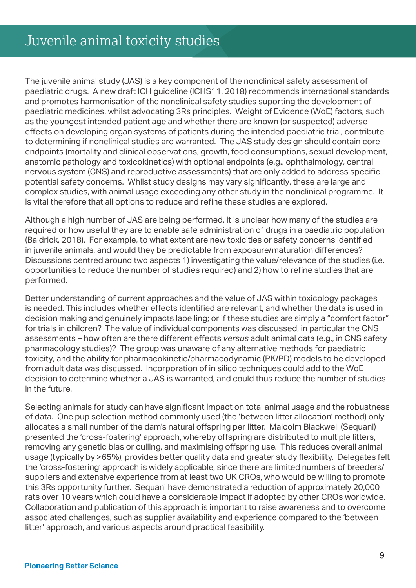The juvenile animal study (JAS) is a key component of the nonclinical safety assessment of paediatric drugs. A new draft ICH guideline (ICHS11, 2018) recommends international standards and promotes harmonisation of the nonclinical safety studies suporting the development of paediatric medicines, whilst advocating 3Rs principles. Weight of Evidence (WoE) factors, such as the youngest intended patient age and whether there are known (or suspected) adverse effects on developing organ systems of patients during the intended paediatric trial, contribute to determining if nonclinical studies are warranted. The JAS study design should contain core endpoints (mortality and clinical observations, growth, food consumptions, sexual development, anatomic pathology and toxicokinetics) with optional endpoints (e.g., ophthalmology, central nervous system (CNS) and reproductive assessments) that are only added to address specific potential safety concerns. Whilst study designs may vary significantly, these are large and complex studies, with animal usage exceeding any other study in the nonclinical programme. It is vital therefore that all options to reduce and refine these studies are explored.

Although a high number of JAS are being performed, it is unclear how many of the studies are required or how useful they are to enable safe administration of drugs in a paediatric population (Baldrick, 2018). For example, to what extent are new toxicities or safety concerns identified in juvenile animals, and would they be predictable from exposure/maturation differences? Discussions centred around two aspects 1) investigating the value/relevance of the studies (i.e. opportunities to reduce the number of studies required) and 2) how to refine studies that are performed.

Better understanding of current approaches and the value of JAS within toxicology packages is needed. This includes whether effects identified are relevant, and whether the data is used in decision making and genuinely impacts labelling; or if these studies are simply a "comfort factor" for trials in children? The value of individual components was discussed, in particular the CNS assessments – how often are there different effects *versus* adult animal data (e.g., in CNS safety pharmacology studies)? The group was unaware of any alternative methods for paediatric toxicity, and the ability for pharmacokinetic/pharmacodynamic (PK/PD) models to be developed from adult data was discussed. Incorporation of in silico techniques could add to the WoE decision to determine whether a JAS is warranted, and could thus reduce the number of studies in the future.

Selecting animals for study can have significant impact on total animal usage and the robustness of data. One pup selection method commonly used (the 'between litter allocation' method) only allocates a small number of the dam's natural offspring per litter. Malcolm Blackwell (Sequani) presented the 'cross-fostering' approach, whereby offspring are distributed to multiple litters, removing any genetic bias or culling, and maximising offspring use. This reduces overall animal usage (typically by >65%), provides better quality data and greater study flexibility. Delegates felt the 'cross-fostering' approach is widely applicable, since there are limited numbers of breeders/ suppliers and extensive experience from at least two UK CROs, who would be willing to promote this 3Rs opportunity further. Sequani have demonstrated a reduction of approximately 20,000 rats over 10 years which could have a considerable impact if adopted by other CROs worldwide. Collaboration and publication of this approach is important to raise awareness and to overcome associated challenges, such as supplier availability and experience compared to the 'between litter' approach, and various aspects around practical feasibility.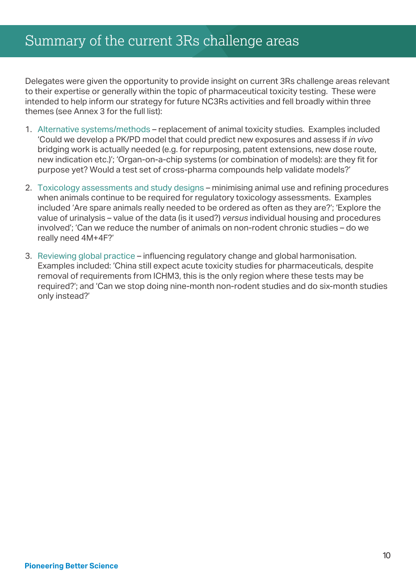Delegates were given the opportunity to provide insight on current 3Rs challenge areas relevant to their expertise or generally within the topic of pharmaceutical toxicity testing. These were intended to help inform our strategy for future NC3Rs activities and fell broadly within three themes (see Annex 3 for the full list):

- 1. Alternative systems/methods replacement of animal toxicity studies. Examples included 'Could we develop a PK/PD model that could predict new exposures and assess if *in vivo* bridging work is actually needed (e.g. for repurposing, patent extensions, new dose route, new indication etc.)'; 'Organ-on-a-chip systems (or combination of models): are they fit for purpose yet? Would a test set of cross-pharma compounds help validate models?'
- 2. Toxicology assessments and study designs minimising animal use and refining procedures when animals continue to be required for regulatory toxicology assessments. Examples included 'Are spare animals really needed to be ordered as often as they are?'; 'Explore the value of urinalysis – value of the data (is it used?) *versus* individual housing and procedures involved'; 'Can we reduce the number of animals on non-rodent chronic studies – do we really need 4M+4F?'
- 3. Reviewing global practice influencing regulatory change and global harmonisation. Examples included: 'China still expect acute toxicity studies for pharmaceuticals, despite removal of requirements from ICHM3, this is the only region where these tests may be required?'; and 'Can we stop doing nine-month non-rodent studies and do six-month studies only instead?'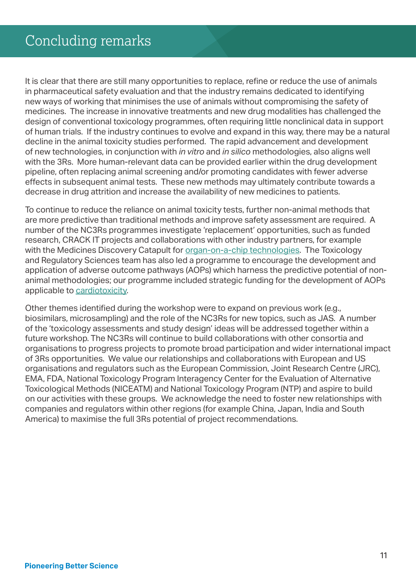It is clear that there are still many opportunities to replace, refine or reduce the use of animals in pharmaceutical safety evaluation and that the industry remains dedicated to identifying new ways of working that minimises the use of animals without compromising the safety of medicines. The increase in innovative treatments and new drug modalities has challenged the design of conventional toxicology programmes, often requiring little nonclinical data in support of human trials. If the industry continues to evolve and expand in this way, there may be a natural decline in the animal toxicity studies performed. The rapid advancement and development of new technologies, in conjunction with *in vitro* and *in silico* methodologies, also aligns well with the 3Rs. More human-relevant data can be provided earlier within the drug development pipeline, often replacing animal screening and/or promoting candidates with fewer adverse effects in subsequent animal tests. These new methods may ultimately contribute towards a decrease in drug attrition and increase the availability of new medicines to patients.

To continue to reduce the reliance on animal toxicity tests, further non-animal methods that are more predictive than traditional methods and improve safety assessment are required. A number of the NC3Rs programmes investigate 'replacement' opportunities, such as funded research, CRACK IT projects and collaborations with other industry partners, for example with the Medicines Discovery Catapult for [organ-on-a-chip technologies.](https://www.nc3rs.org.uk/sites/default/files/documents/Organ-on-a-chip-technologies_report_FINAL.pdf) The Toxicology and Regulatory Sciences team has also led a programme to encourage the development and application of adverse outcome pathways (AOPs) which harness the predictive potential of nonanimal methodologies; our programme included strategic funding for the development of AOPs applicable to [cardiotoxicity](https://www.nc3rs.org.uk/development-aop-cardiotoxicity-mediated-blockade-l-type-calcium-channel).

Other themes identified during the workshop were to expand on previous work (e.g., biosimilars, microsampling) and the role of the NC3Rs for new topics, such as JAS. A number of the 'toxicology assessments and study design' ideas will be addressed together within a future workshop. The NC3Rs will continue to build collaborations with other consortia and organisations to progress projects to promote broad participation and wider international impact of 3Rs opportunities. We value our relationships and collaborations with European and US organisations and regulators such as the European Commission, Joint Research Centre (JRC), EMA, FDA, National Toxicology Program Interagency Center for the Evaluation of Alternative Toxicological Methods (NICEATM) and National Toxicology Program (NTP) and aspire to build on our activities with these groups. We acknowledge the need to foster new relationships with companies and regulators within other regions (for example China, Japan, India and South America) to maximise the full 3Rs potential of project recommendations.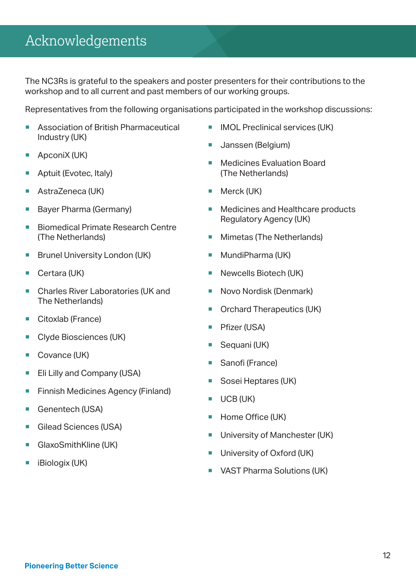## Acknowledgements

The NC3Rs is grateful to the speakers and poster presenters for their contributions to the workshop and to all current and past members of our working groups.

Representatives from the following organisations participated in the workshop discussions:

- Association of British Pharmaceutical Industry (UK)
- ApconiX (UK)
- Aptuit (Evotec, Italy)
- AstraZeneca (UK)
- Bayer Pharma (Germany)
- Biomedical Primate Research Centre (The Netherlands)
- Brunel University London (UK)
- Certara (UK)
- Charles River Laboratories (UK and The Netherlands)
- Citoxlab (France)
- **Clyde Biosciences (UK)**
- Covance (UK)
- **Eli Lilly and Company (USA)**
- **Finnish Medicines Agency (Finland)**
- Genentech (USA)
- Gilead Sciences (USA)
- GlaxoSmithKline (UK)
- iBiologix (UK)
- **IMOL Preclinical services (UK)**
- **Janssen (Belgium)**
- **Medicines Evaluation Board** (The Netherlands)
- **Merck (UK)**
- Medicines and Healthcare products Regulatory Agency (UK)
- **Mimetas (The Netherlands)**
- **MundiPharma (UK)**
- **Newcells Biotech (UK)**
- Novo Nordisk (Denmark)
- **Orchard Therapeutics (UK)**
- **Pfizer (USA)**
- Sequani (UK)
- Sanofi (France)
- Sosei Heptares (UK)
- $\blacksquare$  UCB (UK)
- Home Office (UK)
- **University of Manchester (UK)**
- **University of Oxford (UK)**
- **VAST Pharma Solutions (UK)**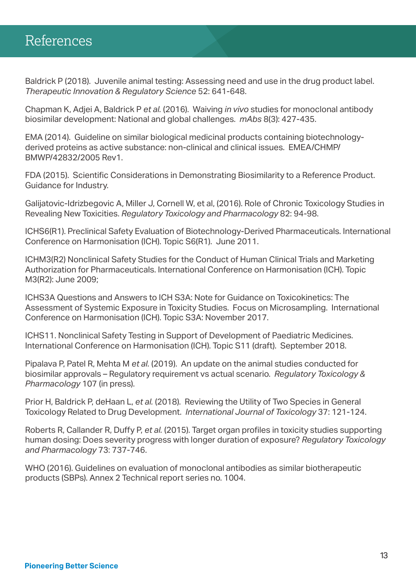### References

Baldrick P (2018). Juvenile animal testing: Assessing need and use in the drug product label. *Therapeutic Innovation & Regulatory Science* 52: 641-648.

Chapman K, Adjei A, Baldrick P *et al.* (2016). Waiving *in vivo* studies for monoclonal antibody biosimilar development: National and global challenges. *mAbs* 8(3): 427-435.

EMA (2014). Guideline on similar biological medicinal products containing biotechnologyderived proteins as active substance: non-clinical and clinical issues. EMEA/CHMP/ BMWP/42832/2005 Rev1.

FDA (2015). Scientific Considerations in Demonstrating Biosimilarity to a Reference Product. Guidance for Industry.

Galijatovic-Idrizbegovic A, Miller J, Cornell W, et al, (2016). Role of Chronic Toxicology Studies in Revealing New Toxicities. *Regulatory Toxicology and Pharmacology* 82: 94-98.

ICHS6(R1). Preclinical Safety Evaluation of Biotechnology-Derived Pharmaceuticals. International Conference on Harmonisation (ICH). Topic S6(R1). June 2011.

ICHM3(R2) Nonclinical Safety Studies for the Conduct of Human Clinical Trials and Marketing Authorization for Pharmaceuticals. International Conference on Harmonisation (ICH). Topic M3(R2): June 2009;

ICHS3A Questions and Answers to ICH S3A: Note for Guidance on Toxicokinetics: The Assessment of Systemic Exposure in Toxicity Studies. Focus on Microsampling. International Conference on Harmonisation (ICH). Topic S3A: November 2017.

ICHS11. Nonclinical Safety Testing in Support of Development of Paediatric Medicines. International Conference on Harmonisation (ICH). Topic S11 (draft). September 2018.

Pipalava P, Patel R, Mehta M *et al.* (2019). An update on the animal studies conducted for biosimilar approvals – Regulatory requirement vs actual scenario. *Regulatory Toxicology & Pharmacology* 107 (in press).

Prior H, Baldrick P, deHaan L, *et al.* (2018). Reviewing the Utility of Two Species in General Toxicology Related to Drug Development. *International Journal of Toxicology* 37: 121-124.

Roberts R, Callander R, Duffy P, *et al.* (2015). Target organ profiles in toxicity studies supporting human dosing: Does severity progress with longer duration of exposure? *Regulatory Toxicology and Pharmacology* 73: 737-746.

WHO (2016). Guidelines on evaluation of monoclonal antibodies as similar biotherapeutic products (SBPs). Annex 2 Technical report series no. 1004.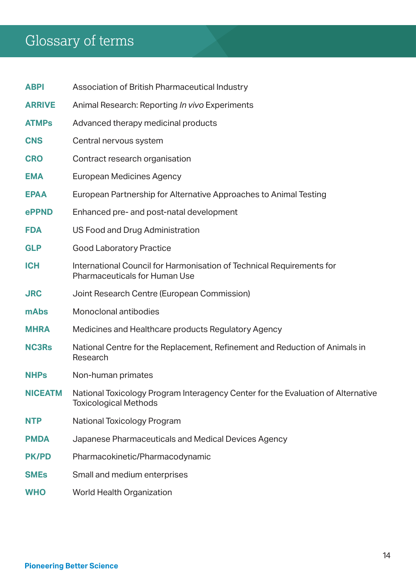## Glossary of terms

| <b>ABPI</b>    | Association of British Pharmaceutical Industry                                                                   |
|----------------|------------------------------------------------------------------------------------------------------------------|
| <b>ARRIVE</b>  | Animal Research: Reporting In vivo Experiments                                                                   |
| <b>ATMPs</b>   | Advanced therapy medicinal products                                                                              |
| <b>CNS</b>     | Central nervous system                                                                                           |
| <b>CRO</b>     | Contract research organisation                                                                                   |
| <b>EMA</b>     | <b>European Medicines Agency</b>                                                                                 |
| <b>EPAA</b>    | European Partnership for Alternative Approaches to Animal Testing                                                |
| ePPND          | Enhanced pre- and post-natal development                                                                         |
| <b>FDA</b>     | US Food and Drug Administration                                                                                  |
| <b>GLP</b>     | <b>Good Laboratory Practice</b>                                                                                  |
| <b>ICH</b>     | International Council for Harmonisation of Technical Requirements for<br><b>Pharmaceuticals for Human Use</b>    |
| <b>JRC</b>     | Joint Research Centre (European Commission)                                                                      |
| mAbs           | Monoclonal antibodies                                                                                            |
| <b>MHRA</b>    | Medicines and Healthcare products Regulatory Agency                                                              |
| <b>NC3Rs</b>   | National Centre for the Replacement, Refinement and Reduction of Animals in<br>Research                          |
| <b>NHPs</b>    | Non-human primates                                                                                               |
| <b>NICEATM</b> | National Toxicology Program Interagency Center for the Evaluation of Alternative<br><b>Toxicological Methods</b> |
| <b>NTP</b>     | National Toxicology Program                                                                                      |
| <b>PMDA</b>    | Japanese Pharmaceuticals and Medical Devices Agency                                                              |
| <b>PK/PD</b>   | Pharmacokinetic/Pharmacodynamic                                                                                  |
| <b>SMEs</b>    | Small and medium enterprises                                                                                     |
| <b>WHO</b>     | World Health Organization                                                                                        |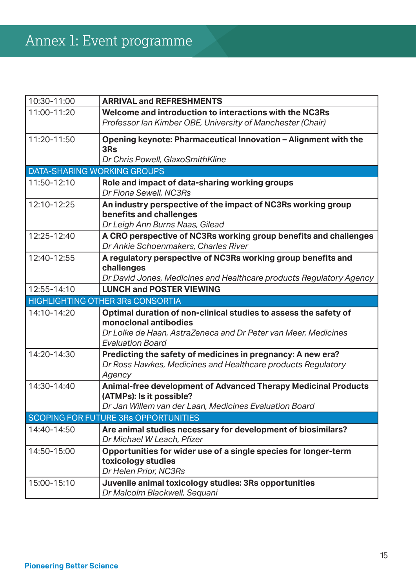| 10:30-11:00                             | <b>ARRIVAL and REFRESHMENTS</b>                                                                                                                                                        |  |  |
|-----------------------------------------|----------------------------------------------------------------------------------------------------------------------------------------------------------------------------------------|--|--|
| 11:00-11:20                             | Welcome and introduction to interactions with the NC3Rs<br>Professor Ian Kimber OBE, University of Manchester (Chair)                                                                  |  |  |
| 11:20-11:50                             | Opening keynote: Pharmaceutical Innovation - Alignment with the<br>3Rs<br>Dr Chris Powell, GlaxoSmithKline                                                                             |  |  |
| <b>DATA-SHARING WORKING GROUPS</b>      |                                                                                                                                                                                        |  |  |
| 11:50-12:10                             | Role and impact of data-sharing working groups<br>Dr Fiona Sewell, NC3Rs                                                                                                               |  |  |
| 12:10-12:25                             | An industry perspective of the impact of NC3Rs working group<br>benefits and challenges<br>Dr Leigh Ann Burns Naas, Gilead                                                             |  |  |
| 12:25-12:40                             | A CRO perspective of NC3Rs working group benefits and challenges<br>Dr Ankie Schoenmakers, Charles River                                                                               |  |  |
| 12:40-12:55                             | A regulatory perspective of NC3Rs working group benefits and<br>challenges<br>Dr David Jones, Medicines and Healthcare products Regulatory Agency                                      |  |  |
| 12:55-14:10                             | <b>LUNCH and POSTER VIEWING</b>                                                                                                                                                        |  |  |
| <b>HIGHLIGHTING OTHER 3Rs CONSORTIA</b> |                                                                                                                                                                                        |  |  |
| 14:10-14:20                             | Optimal duration of non-clinical studies to assess the safety of<br>monoclonal antibodies<br>Dr Lolke de Haan, AstraZeneca and Dr Peter van Meer, Medicines<br><b>Evaluation Board</b> |  |  |
| 14:20-14:30                             | Predicting the safety of medicines in pregnancy: A new era?<br>Dr Ross Hawkes, Medicines and Healthcare products Regulatory<br>Agency                                                  |  |  |
| 14:30-14:40                             | <b>Animal-free development of Advanced Therapy Medicinal Products</b><br>(ATMPs): Is it possible?                                                                                      |  |  |
| SCOPING FOR FUTURE 3Rs OPPORTUNITIES    |                                                                                                                                                                                        |  |  |
|                                         | Dr Jan Willem van der Laan, Medicines Evaluation Board                                                                                                                                 |  |  |
| 14:40-14:50                             | Are animal studies necessary for development of biosimilars?<br>Dr Michael W Leach, Pfizer                                                                                             |  |  |
| 14:50-15:00                             | Opportunities for wider use of a single species for longer-term<br>toxicology studies<br>Dr Helen Prior, NC3Rs                                                                         |  |  |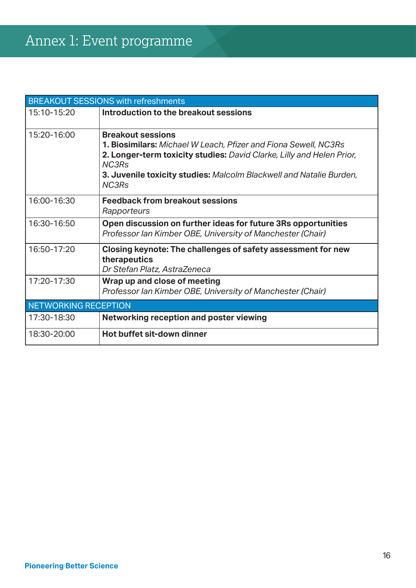| <b>BREAKOUT SESSIONS with refreshments</b> |                                                                                                                                                                                                                                                                                    |  |  |
|--------------------------------------------|------------------------------------------------------------------------------------------------------------------------------------------------------------------------------------------------------------------------------------------------------------------------------------|--|--|
| 15:10-15:20                                | Introduction to the breakout sessions                                                                                                                                                                                                                                              |  |  |
| 15:20-16:00                                | <b>Breakout sessions</b><br><b>1. Biosimilars:</b> Michael W Leach, Pfizer and Fiona Sewell, NC3Rs<br>2. Longer-term toxicity studies: David Clarke, Lilly and Helen Prior,<br><b>NC3Rs</b><br>3. Juvenile toxicity studies: Malcolm Blackwell and Natalie Burden,<br><b>NC3Rs</b> |  |  |
| 16:00-16:30                                | <b>Feedback from breakout sessions</b><br>Rapporteurs                                                                                                                                                                                                                              |  |  |
| 16:30-16:50                                | Open discussion on further ideas for future 3Rs opportunities<br>Professor lan Kimber OBE, University of Manchester (Chair)                                                                                                                                                        |  |  |
| 16:50-17:20                                | Closing keynote: The challenges of safety assessment for new<br>therapeutics<br>Dr Stefan Platz, AstraZeneca                                                                                                                                                                       |  |  |
| 17:20-17:30                                | Wrap up and close of meeting<br>Professor lan Kimber OBE, University of Manchester (Chair)                                                                                                                                                                                         |  |  |
| <b>NETWORKING RECEPTION</b>                |                                                                                                                                                                                                                                                                                    |  |  |
| 17:30-18:30                                | Networking reception and poster viewing                                                                                                                                                                                                                                            |  |  |
| 18:30-20:00                                | Hot buffet sit-down dinner                                                                                                                                                                                                                                                         |  |  |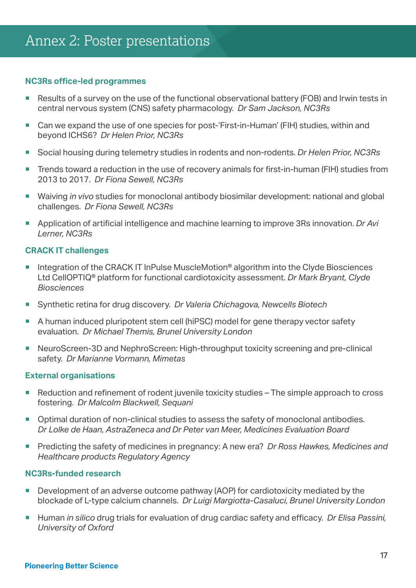### **NC3Rs office-led programmes**

- Results of a survey on the use of the functional observational battery (FOB) and Irwin tests in central nervous system (CNS) safety pharmacology. *Dr Sam Jackson, NC3Rs*
- Can we expand the use of one species for post-'First-in-Human' (FIH) studies, within and beyond ICHS6? *Dr Helen Prior, NC3Rs*
- Social housing during telemetry studies in rodents and non-rodents. *Dr Helen Prior, NC3Rs*
- Trends toward a reduction in the use of recovery animals for first-in-human (FIH) studies from 2013 to 2017. *Dr Fiona Sewell, NC3Rs*
- Waiving *in vivo* studies for monoclonal antibody biosimilar development: national and global challenges. *Dr Fiona Sewell, NC3Rs*
- Application of artificial intelligence and machine learning to improve 3Rs innovation. *Dr Avi Lerner, NC3Rs*

### **CRACK IT challenges**

- Integration of the CRACK IT InPulse MuscleMotion® algorithm into the Clyde Biosciences Ltd CellOPTIQ® platform for functional cardiotoxicity assessment. *Dr Mark Bryant, Clyde Biosciences*
- Synthetic retina for drug discovery. *Dr Valeria Chichagova, Newcells Biotech*
- A human induced pluripotent stem cell (hiPSC) model for gene therapy vector safety evaluation. *Dr Michael Themis, Brunel University London*
- NeuroScreen-3D and NephroScreen: High-throughput toxicity screening and pre-clinical safety. *Dr Marianne Vormann, Mimetas*

### **External organisations**

- Reduction and refinement of rodent juvenile toxicity studies The simple approach to cross fostering. *Dr Malcolm Blackwell, Sequani*
- Optimal duration of non-clinical studies to assess the safety of monoclonal antibodies. *Dr Lolke de Haan, AstraZeneca and Dr Peter van Meer, Medicines Evaluation Board*
- Predicting the safety of medicines in pregnancy: A new era? *Dr Ross Hawkes, Medicines and Healthcare products Regulatory Agency*

### **NC3Rs-funded research**

- Development of an adverse outcome pathway (AOP) for cardiotoxicity mediated by the blockade of L-type calcium channels. *Dr Luigi Margiotta-Casaluci, Brunel University London*
- Human *in silico* drug trials for evaluation of drug cardiac safety and efficacy. *Dr Elisa Passini, University of Oxford*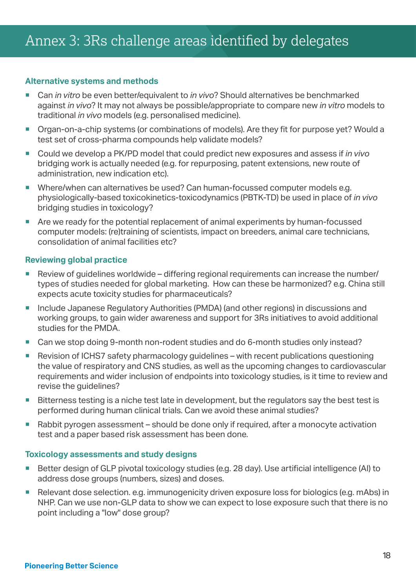### **Alternative systems and methods**

- Can *in vitro* be even better/equivalent to *in vivo*? Should alternatives be benchmarked against *in vivo*? It may not always be possible/appropriate to compare new *in vitro* models to traditional *in vivo* models (e.g. personalised medicine).
- Organ-on-a-chip systems (or combinations of models). Are they fit for purpose yet? Would a test set of cross-pharma compounds help validate models?
- Could we develop a PK/PD model that could predict new exposures and assess if *in vivo* bridging work is actually needed (e.g. for repurposing, patent extensions, new route of administration, new indication etc).
- Where/when can alternatives be used? Can human-focussed computer models e.g. physiologically-based toxicokinetics-toxicodynamics (PBTK-TD) be used in place of *in vivo* bridging studies in toxicology?
- Are we ready for the potential replacement of animal experiments by human-focussed computer models: (re)training of scientists, impact on breeders, animal care technicians, consolidation of animal facilities etc?

### **Reviewing global practice**

- Review of guidelines worldwide differing regional requirements can increase the number/ types of studies needed for global marketing. How can these be harmonized? e.g. China still expects acute toxicity studies for pharmaceuticals?
- Include Japanese Regulatory Authorities (PMDA) (and other regions) in discussions and working groups, to gain wider awareness and support for 3Rs initiatives to avoid additional studies for the PMDA.
- Can we stop doing 9-month non-rodent studies and do 6-month studies only instead?
- Revision of ICHS7 safety pharmacology guidelines with recent publications questioning the value of respiratory and CNS studies, as well as the upcoming changes to cardiovascular requirements and wider inclusion of endpoints into toxicology studies, is it time to review and revise the quidelines?
- Bitterness testing is a niche test late in development, but the regulators say the best test is performed during human clinical trials. Can we avoid these animal studies?
- Rabbit pyrogen assessment should be done only if required, after a monocyte activation test and a paper based risk assessment has been done.

#### **Toxicology assessments and study designs**

- Better design of GLP pivotal toxicology studies (e.g. 28 day). Use artificial intelligence (AI) to address dose groups (numbers, sizes) and doses.
- Relevant dose selection. e.g. immunogenicity driven exposure loss for biologics (e.g. mAbs) in NHP. Can we use non-GLP data to show we can expect to lose exposure such that there is no point including a "low" dose group?